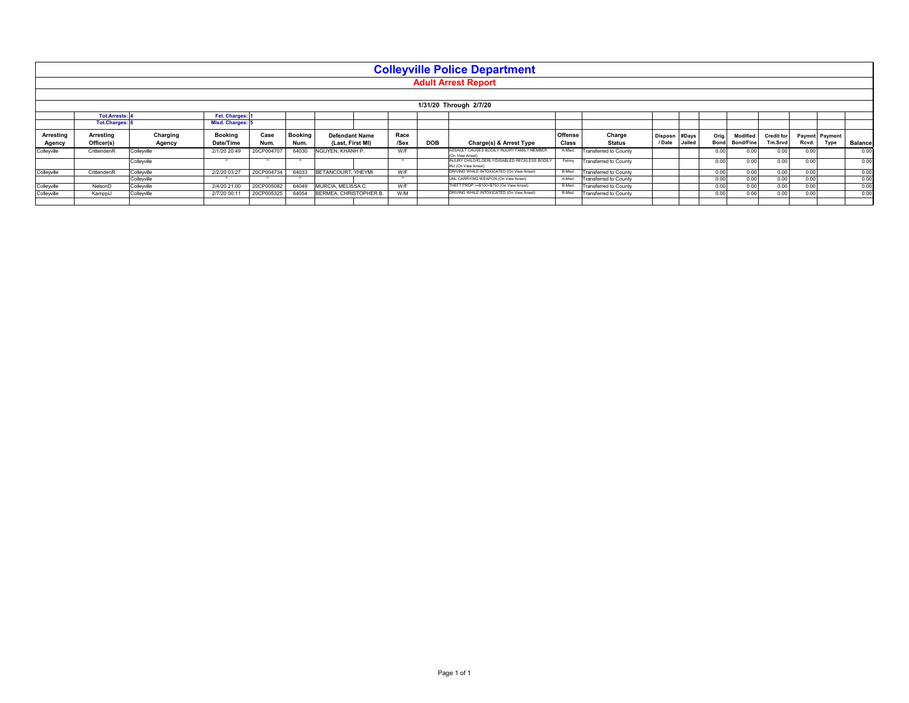|                                            |                         |                    |                                 |              |                        |                                           |              |            | <b>Colleyville Police Department</b><br><b>Adult Arrest Report</b>    |                  |                              |                          |                 |                      |                              |                              |                                 |                |
|--------------------------------------------|-------------------------|--------------------|---------------------------------|--------------|------------------------|-------------------------------------------|--------------|------------|-----------------------------------------------------------------------|------------------|------------------------------|--------------------------|-----------------|----------------------|------------------------------|------------------------------|---------------------------------|----------------|
|                                            |                         |                    |                                 |              |                        |                                           |              |            | 1/31/20 Through 2/7/20                                                |                  |                              |                          |                 |                      |                              |                              |                                 |                |
| <b>Tot.Arrests:</b><br><b>Tot.Charges:</b> |                         |                    | Fel. Charges:<br>Misd. Charges: |              |                        |                                           |              |            |                                                                       |                  |                              |                          |                 |                      |                              |                              |                                 |                |
| Arresting<br>Agency                        | Arresting<br>Officer(s) | Charging<br>Agency | <b>Booking</b><br>Date/Time     | Case<br>Num. | <b>Booking</b><br>Num. | <b>Defendant Name</b><br>(Last, First MI) | Race<br>/Sex | <b>DOB</b> | Charge(s) & Arrest Type                                               | Offense<br>Class | Charge<br><b>Status</b>      | <b>Disposn</b><br>/ Date | #Days<br>Jailed | Orig.<br><b>Bond</b> | Modified<br><b>Bond/Fine</b> | <b>Credit for</b><br>Tm.Srvd | Paymnt Payment<br>Type<br>Rcvd. | <b>Balance</b> |
| Colleyville                                | CrittendenR             | Colleyville        | 2/1/20 20:49                    | 20CP004707   | 64030                  | NGUYEN, KHANH P.                          | W/F          |            | ASSAULT CAUSES BODILY INJURY FAMILY MEMBER<br>(On View Arrest)        | A-Misd.          | <b>Transferred to County</b> |                          |                 | 0.00                 | 0.00                         | 0.00                         | 0.00                            | 0.00           |
|                                            |                         | Colleyville        | $\cdots$                        | $\cdots$     | $\cdots$               |                                           | $\cdots$     |            | INJURY CHILD/ELDERLY/DISABLED RECKLESS BODILY<br>INJ (On View Arrest) | Felony           | <b>Transferred to County</b> |                          |                 | 0.00                 | 0.00                         | 0.00                         | 0.00                            | 0.00           |
| Colleyville                                | CrittendenR             | Colleyville        | 2/2/20 03:27                    | 20CP004734   | 64033                  | BETANCOURT, YHEYMI                        | W/F          |            | DRIVING WHILE INTOXICATED (On View Arrest)                            | B-Misd           | Transferred to County        |                          |                 | 0.00                 | 0.00                         | 0.00                         | 0.00                            | 0.00           |
|                                            |                         | Colleyville        | $\cdots$                        | $\cdots$     | $\cdots$               |                                           | $\cdots$     |            | UNL CARRYING WEAPON (On View Arrest)                                  | A-Misd           | <b>Transferred to County</b> |                          |                 | 0.00                 | 0.00                         | 0.00                         | 0.00                            | 0.00           |
| Colleyville                                | NelsonD                 | Colleyville        | 2/4/20 21:00                    | 20CP005082   | 64049                  | MURCIA, MELISSA C.                        | W/F          |            | THEFT PROP >=\$100<\$750 (On View Arrest)                             | B-Misd           | Transferred to County        |                          |                 | 0.00                 | 0.00                         | 0.00                         | 0.00                            | 0.00           |
| Colleyville                                | KamppiJ                 | Colleyville        | 2/7/20 00:11                    | 20CP005325   | 64054                  | BERMEA, CHRISTOPHER B.                    | W/M          |            | DRIVING WHILE INTOXICATED (On View Arrest)                            | B-Misd           | <b>Transferred to County</b> |                          |                 | 0.00                 | 0.00                         | 0.00                         | 0.00                            | 0.00           |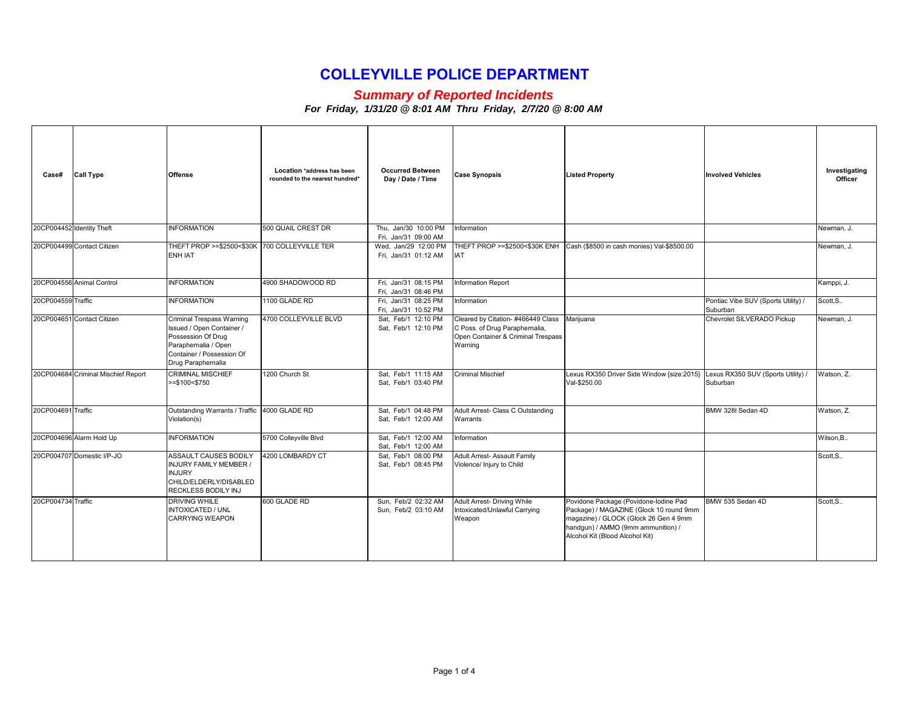#### *Summary of Reported Incidents*

| Case#                     | <b>Call Type</b>                    | <b>Offense</b>                                                                                                                                          | Location *address has been<br>rounded to the nearest hundred* | <b>Occurred Between</b><br>Day / Date / Time | <b>Case Synopsis</b>                                                                                                 | <b>Listed Property</b>                                                                                                                                                                             | <b>Involved Vehicles</b>                        | Investigating<br>Officer |
|---------------------------|-------------------------------------|---------------------------------------------------------------------------------------------------------------------------------------------------------|---------------------------------------------------------------|----------------------------------------------|----------------------------------------------------------------------------------------------------------------------|----------------------------------------------------------------------------------------------------------------------------------------------------------------------------------------------------|-------------------------------------------------|--------------------------|
| 20CP004452 Identity Theft |                                     | <b>INFORMATION</b>                                                                                                                                      | 500 QUAIL CREST DR                                            | Thu. Jan/30 10:00 PM<br>Fri, Jan/31 09:00 AM | Information                                                                                                          |                                                                                                                                                                                                    |                                                 | Newman, J.               |
|                           | 20CP004499 Contact Citizen          | THEFT PROP >=\$2500<\$30K 700 COLLEYVILLE TER<br><b>ENH IAT</b>                                                                                         |                                                               | Wed, Jan/29 12:00 PM<br>Fri, Jan/31 01:12 AM | <b>IAT</b>                                                                                                           | THEFT PROP >=\$2500<\$30K ENH Cash (\$8500 in cash monies) Val-\$8500.00                                                                                                                           |                                                 | Newman, J.               |
|                           | 20CP004556 Animal Control           | <b>INFORMATION</b>                                                                                                                                      | 4900 SHADOWOOD RD                                             | Fri, Jan/31 08:15 PM<br>Fri, Jan/31 08:46 PM | Information Report                                                                                                   |                                                                                                                                                                                                    |                                                 | Kamppi, J.               |
| 20CP004559 Traffic        |                                     | <b>INFORMATION</b>                                                                                                                                      | 1100 GLADE RD                                                 | Fri, Jan/31 08:25 PM<br>Fri. Jan/31 10:52 PM | Information                                                                                                          |                                                                                                                                                                                                    | Pontiac Vibe SUV (Sports Utility) /<br>Suburban | Scott, S                 |
|                           | 20CP004651 Contact Citizen          | Criminal Trespass Warning<br>Issued / Open Container /<br>Possession Of Drug<br>Paraphernalia / Open<br>Container / Possession Of<br>Drug Paraphernalia | 4700 COLLEYVILLE BLVD                                         | Sat, Feb/1 12:10 PM<br>Sat, Feb/1 12:10 PM   | Cleared by Citation-#466449 Class<br>C Poss. of Drug Paraphernalia,<br>Open Container & Criminal Trespass<br>Warning | Marijuana                                                                                                                                                                                          | Chevrolet SILVERADO Pickup                      | Newman, J.               |
|                           | 20CP004684 Criminal Mischief Report | <b>CRIMINAL MISCHIEF</b><br>$>= $100 < $750$                                                                                                            | 1200 Church St                                                | Sat. Feb/1 11:15 AM<br>Sat, Feb/1 03:40 PM   | <b>Criminal Mischief</b>                                                                                             | Lexus RX350 Driver Side Window {size:2015}<br>Val-\$250.00                                                                                                                                         | Lexus RX350 SUV (Sports Utility) /<br>Suburban  | Watson, Z.               |
| 20CP004691 Traffic        |                                     | Outstanding Warrants / Traffic 4000 GLADE RD<br>Violation(s)                                                                                            |                                                               | Sat. Feb/1 04:48 PM<br>Sat, Feb/1 12:00 AM   | Adult Arrest- Class C Outstanding<br>Warrants                                                                        |                                                                                                                                                                                                    | BMW 328I Sedan 4D                               | Watson, Z.               |
|                           | 20CP004696 Alarm Hold Up            | <b>INFORMATION</b>                                                                                                                                      | 5700 Colleyville Blvd                                         | Sat, Feb/1 12:00 AM<br>Sat. Feb/1 12:00 AM   | Information                                                                                                          |                                                                                                                                                                                                    |                                                 | Wilson.B.                |
|                           | 20CP004707 Domestic I/P-JO          | <b>ASSAULT CAUSES BODILY</b><br><b>INJURY FAMILY MEMBER /</b><br><b>INJURY</b><br>CHILD/ELDERLY/DISABLED<br>RECKLESS BODILY INJ                         | 4200 LOMBARDY CT                                              | Sat, Feb/1 08:00 PM<br>Sat, Feb/1 08:45 PM   | Adult Arrest- Assault Family<br>Violence/ Injury to Child                                                            |                                                                                                                                                                                                    |                                                 | Scott.S                  |
| 20CP004734 Traffic        |                                     | <b>DRIVING WHILE</b><br><b>INTOXICATED / UNL</b><br><b>CARRYING WEAPON</b>                                                                              | 600 GLADE RD                                                  | Sun. Feb/2 02:32 AM<br>Sun. Feb/2 03:10 AM   | Adult Arrest- Driving While<br>Intoxicated/Unlawful Carrying<br>Weapon                                               | Povidone Package (Povidone-lodine Pad<br>Package) / MAGAZINE (Glock 10 round 9mm<br>magazine) / GLOCK (Glock 26 Gen 4 9mm<br>handgun) / AMMO (9mm ammunition) /<br>Alcohol Kit (Blood Alcohol Kit) | BMW 535 Sedan 4D                                | Scott.S.                 |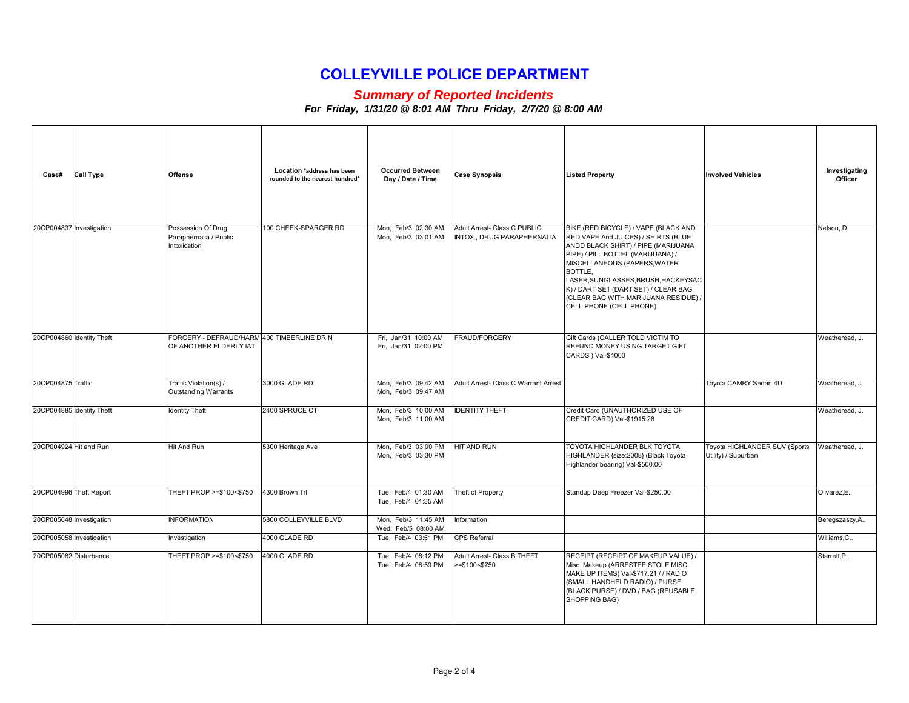#### *Summary of Reported Incidents*

| Case#                     | <b>Call Type</b> | <b>Offense</b>                                                       | Location *address has been<br>rounded to the nearest hundred* | <b>Occurred Between</b><br>Day / Date / Time | <b>Case Synopsis</b>                                       | <b>Listed Property</b>                                                                                                                                                                                                                                                                                                                               | <b>Involved Vehicles</b>                             | Investigating<br>Officer |
|---------------------------|------------------|----------------------------------------------------------------------|---------------------------------------------------------------|----------------------------------------------|------------------------------------------------------------|------------------------------------------------------------------------------------------------------------------------------------------------------------------------------------------------------------------------------------------------------------------------------------------------------------------------------------------------------|------------------------------------------------------|--------------------------|
| 20CP004837 Investigation  |                  | Possession Of Drug<br>Paraphernalia / Public<br>Intoxication         | 100 CHEEK-SPARGER RD                                          | Mon, Feb/3 02:30 AM<br>Mon, Feb/3 03:01 AM   | Adult Arrest- Class C PUBLIC<br>INTOX., DRUG PARAPHERNALIA | BIKE (RED BICYCLE) / VAPE (BLACK AND<br>RED VAPE And JUICES) / SHIRTS (BLUE<br>ANDD BLACK SHIRT) / PIPE (MARIJUANA<br>PIPE) / PILL BOTTEL (MARIJUANA) /<br>MISCELLANEOUS (PAPERS, WATER<br>BOTTLE.<br>LASER, SUNGLASSES, BRUSH, HACKEYSAC<br>K) / DART SET (DART SET) / CLEAR BAG<br>(CLEAR BAG WITH MARIJUANA RESIDUE) /<br>CELL PHONE (CELL PHONE) |                                                      | Nelson, D.               |
| 20CP004860 Identity Theft |                  | FORGERY - DEFRAUD/HARM 400 TIMBERLINE DR N<br>OF ANOTHER ELDERLY IAT |                                                               | Fri, Jan/31 10:00 AM<br>Fri, Jan/31 02:00 PM | <b>FRAUD/FORGERY</b>                                       | Gift Cards (CALLER TOLD VICTIM TO<br>REFUND MONEY USING TARGET GIFT<br>CARDS ) Val-\$4000                                                                                                                                                                                                                                                            |                                                      | Weatheread, J.           |
| 20CP004875 Traffic        |                  | Traffic Violation(s) /<br><b>Outstanding Warrants</b>                | 3000 GLADE RD                                                 | Mon, Feb/3 09:42 AM<br>Mon, Feb/3 09:47 AM   | Adult Arrest- Class C Warrant Arrest                       |                                                                                                                                                                                                                                                                                                                                                      | Toyota CAMRY Sedan 4D                                | Weatheread, J.           |
| 20CP004885 Identity Theft |                  | <b>Identity Theft</b>                                                | 2400 SPRUCE CT                                                | Mon, Feb/3 10:00 AM<br>Mon, Feb/3 11:00 AM   | <b>IDENTITY THEFT</b>                                      | Credit Card (UNAUTHORIZED USE OF<br>CREDIT CARD) Val-\$1915.28                                                                                                                                                                                                                                                                                       |                                                      | Weatheread, J.           |
| 20CP004924 Hit and Run    |                  | <b>Hit And Run</b>                                                   | 5300 Heritage Ave                                             | Mon, Feb/3 03:00 PM<br>Mon, Feb/3 03:30 PM   | HIT AND RUN                                                | TOYOTA HIGHLANDER BLK TOYOTA<br>HIGHLANDER {size:2008} (Black Toyota<br>Highlander bearing) Val-\$500.00                                                                                                                                                                                                                                             | Toyota HIGHLANDER SUV (Sports<br>Utility) / Suburban | Weatheread, J.           |
| 20CP004996 Theft Report   |                  | THEFT PROP >=\$100<\$750                                             | 4300 Brown Trl                                                | Tue. Feb/4 01:30 AM<br>Tue, Feb/4 01:35 AM   | Theft of Property                                          | Standup Deep Freezer Val-\$250.00                                                                                                                                                                                                                                                                                                                    |                                                      | Olivarez.E               |
| 20CP005048 Investigation  |                  | <b>INFORMATION</b>                                                   | 5800 COLLEYVILLE BLVD                                         | Mon, Feb/3 11:45 AM<br>Wed, Feb/5 08:00 AM   | Information                                                |                                                                                                                                                                                                                                                                                                                                                      |                                                      | Beregszaszy, A           |
| 20CP005058 Investigation  |                  | Investigation                                                        | 4000 GLADE RD                                                 | Tue, Feb/4 03:51 PM                          | CPS Referral                                               |                                                                                                                                                                                                                                                                                                                                                      |                                                      | Williams, C              |
| 20CP005082 Disturbance    |                  | THEFT PROP >=\$100<\$750                                             | 4000 GLADE RD                                                 | Tue, Feb/4 08:12 PM<br>Tue, Feb/4 08:59 PM   | Adult Arrest- Class B THEFT<br>>=\$100<\$750               | RECEIPT (RECEIPT OF MAKEUP VALUE) /<br>Misc. Makeup (ARRESTEE STOLE MISC.<br>MAKE UP ITEMS) Val-\$717.21 / / RADIO<br>(SMALL HANDHELD RADIO) / PURSE<br>(BLACK PURSE) / DVD / BAG (REUSABLE<br>SHOPPING BAG)                                                                                                                                         |                                                      | Starrett.P               |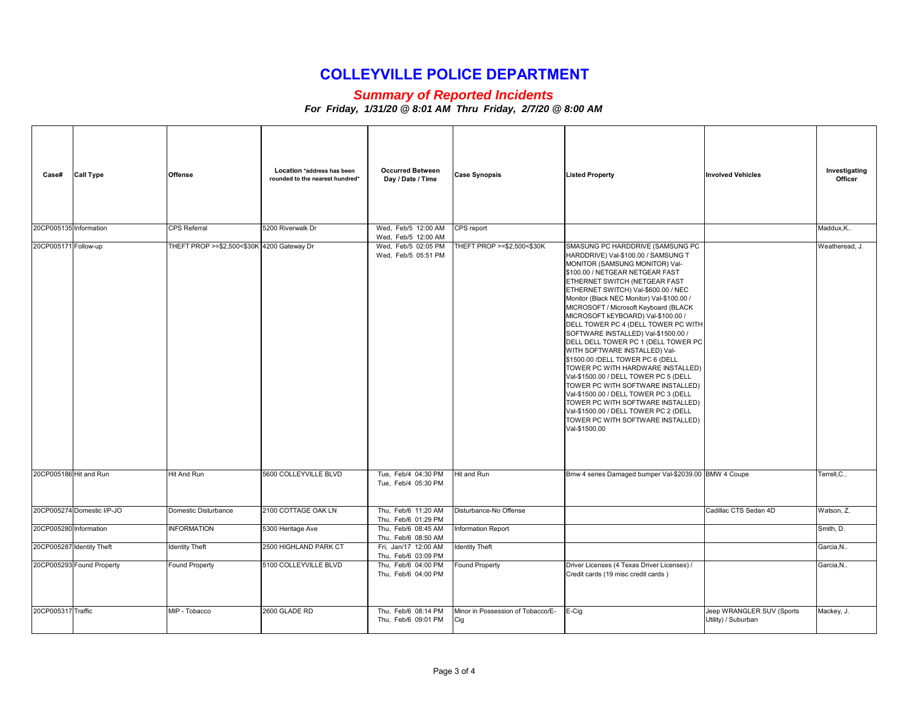#### *Summary of Reported Incidents*

| Case#                  | <b>Call Type</b>           | <b>Offense</b>                             | Location *address has been<br>rounded to the nearest hundred* | <b>Occurred Between</b><br>Day / Date / Time | <b>Case Synopsis</b>                     | <b>Listed Property</b>                                                                                                                                                                                                                                                                                                                                                                                                                                                                                                                                                                                                                                                                                                                                                                                                                      | <b>Involved Vehicles</b>                         | Investigating<br>Officer |
|------------------------|----------------------------|--------------------------------------------|---------------------------------------------------------------|----------------------------------------------|------------------------------------------|---------------------------------------------------------------------------------------------------------------------------------------------------------------------------------------------------------------------------------------------------------------------------------------------------------------------------------------------------------------------------------------------------------------------------------------------------------------------------------------------------------------------------------------------------------------------------------------------------------------------------------------------------------------------------------------------------------------------------------------------------------------------------------------------------------------------------------------------|--------------------------------------------------|--------------------------|
| 20CP005135 Information |                            | CPS Referral                               | 5200 Riverwalk Dr                                             | Wed, Feb/5 12:00 AM<br>Wed, Feb/5 12:00 AM   | CPS report                               |                                                                                                                                                                                                                                                                                                                                                                                                                                                                                                                                                                                                                                                                                                                                                                                                                                             |                                                  | Maddux, K                |
| 20CP005171 Follow-up   |                            | THEFT PROP >=\$2,500<\$30K 4200 Gateway Dr |                                                               | Wed, Feb/5 02:05 PM<br>Wed, Feb/5 05:51 PM   | THEFT PROP >=\$2,500<\$30K               | SMASUNG PC HARDDRIVE (SAMSUNG PC<br>HARDDRIVE) Val-\$100.00 / SAMSUNG T<br>MONITOR (SAMSUNG MONITOR) Val-<br>\$100.00 / NETGEAR NETGEAR FAST<br>ETHERNET SWITCH (NETGEAR FAST<br>ETHERNET SWITCH) Val-\$600.00 / NEC<br>Monitor (Black NEC Monitor) Val-\$100.00 /<br>MICROSOFT / Microsoft Keyboard (BLACK<br>MICROSOFT kEYBOARD) Val-\$100.00 /<br>DELL TOWER PC 4 (DELL TOWER PC WITH<br>SOFTWARE INSTALLED) Val-\$1500.00 /<br>DELL DELL TOWER PC 1 (DELL TOWER PC<br>WITH SOFTWARE INSTALLED) Val-<br>\$1500.00 /DELL TOWER PC 6 (DELL<br>TOWER PC WITH HARDWARE INSTALLED)<br>Val-\$1500.00 / DELL TOWER PC 5 (DELL<br>TOWER PC WITH SOFTWARE INSTALLED)<br>Val-\$1500.00 / DELL TOWER PC 3 (DELL<br>TOWER PC WITH SOFTWARE INSTALLED)<br>Val-\$1500.00 / DELL TOWER PC 2 (DELL<br>TOWER PC WITH SOFTWARE INSTALLED)<br>Val-\$1500.00 |                                                  | Weatheread, J.           |
| 20CP005186 Hit and Run |                            | Hit And Run                                | 5600 COLLEYVILLE BLVD                                         | Tue, Feb/4 04:30 PM<br>Tue, Feb/4 05:30 PM   | Hit and Run                              | Bmw 4 series Damaged bumper Val-\$2039.00 BMW 4 Coupe                                                                                                                                                                                                                                                                                                                                                                                                                                                                                                                                                                                                                                                                                                                                                                                       |                                                  | Terrell.C.               |
|                        | 20CP005274 Domestic I/P-JO | Domestic Disturbance                       | 2100 COTTAGE OAK LN                                           | Thu, Feb/6 11:20 AM<br>Thu, Feb/6 01:29 PM   | Disturbance-No Offense                   |                                                                                                                                                                                                                                                                                                                                                                                                                                                                                                                                                                                                                                                                                                                                                                                                                                             | Cadillac CTS Sedan 4D                            | Watson, Z.               |
| 20CP005280 Information |                            | <b>INFORMATION</b>                         | 5300 Heritage Ave                                             | Thu, Feb/6 08:45 AM<br>Thu, Feb/6 08:50 AM   | Information Report                       |                                                                                                                                                                                                                                                                                                                                                                                                                                                                                                                                                                                                                                                                                                                                                                                                                                             |                                                  | Smith, D.                |
|                        | 20CP005287 Identity Theft  | <b>Identity Theft</b>                      | 2500 HIGHLAND PARK CT                                         | Fri, Jan/17 12:00 AM<br>Thu, Feb/6 03:09 PM  | <b>Identity Theft</b>                    |                                                                                                                                                                                                                                                                                                                                                                                                                                                                                                                                                                                                                                                                                                                                                                                                                                             |                                                  | Garcia, N                |
|                        | 20CP005293 Found Property  | Found Property                             | 5100 COLLEYVILLE BLVD                                         | Thu, Feb/6 04:00 PM<br>Thu, Feb/6 04:00 PM   | Found Property                           | Driver Licenses (4 Texas Driver Licenses) /<br>Credit cards (19 misc credit cards)                                                                                                                                                                                                                                                                                                                                                                                                                                                                                                                                                                                                                                                                                                                                                          |                                                  | Garcia.N                 |
| 20CP005317 Traffic     |                            | MIP - Tobacco                              | 2600 GLADE RD                                                 | Thu, Feb/6 08:14 PM<br>Thu, Feb/6 09:01 PM   | Minor in Possession of Tobacco/E-<br>Cig | E-Cig                                                                                                                                                                                                                                                                                                                                                                                                                                                                                                                                                                                                                                                                                                                                                                                                                                       | Jeep WRANGLER SUV (Sports<br>Utility) / Suburban | Mackey, J.               |